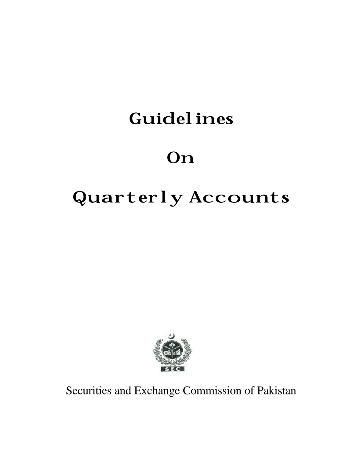## Guidelines

# **On**

# Quarterly Accounts



Securities and Exchange Commission of Pakistan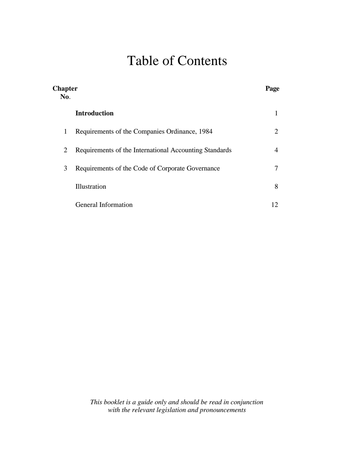### Table of Contents

| <b>Chapter</b><br>No. |                                                        | Page |
|-----------------------|--------------------------------------------------------|------|
|                       | <b>Introduction</b>                                    |      |
| $\mathbf{1}$          | Requirements of the Companies Ordinance, 1984          | 2    |
| 2                     | Requirements of the International Accounting Standards | 4    |
| 3                     | Requirements of the Code of Corporate Governance       |      |
|                       | Illustration                                           | 8    |
|                       | <b>General Information</b>                             | 12   |

*This booklet is a guide only and should be read in conjunction with the relevant legislation and pronouncements*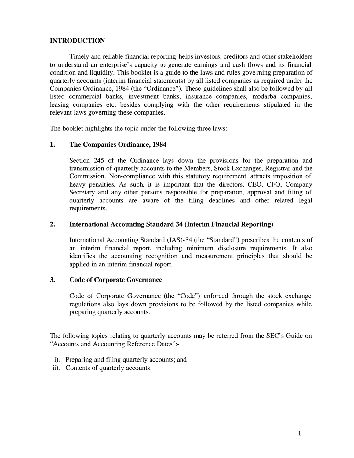#### **INTRODUCTION**

Timely and reliable financial reporting helps investors, creditors and other stakeholders to understand an enterprise's capacity to generate earnings and cash flows and its financial condition and liquidity. This booklet is a guide to the laws and rules gove rning preparation of quarterly accounts (interim financial statements) by all listed companies as required under the Companies Ordinance, 1984 (the "Ordinance"). These guidelines shall also be followed by all listed commercial banks, investment banks, insurance companies, modarba companies, leasing companies etc. besides complying with the other requirements stipulated in the relevant laws governing these companies.

The booklet highlights the topic under the following three laws:

#### **1. The Companies Ordinance, 1984**

Section 245 of the Ordinance lays down the provisions for the preparation and transmission of quarterly accounts to the Members, Stock Exchanges, Registrar and the Commission. Non-compliance with this statutory requirement attracts imposition of heavy penalties. As such, it is important that the directors, CEO, CFO, Company Secretary and any other persons responsible for preparation, approval and filing of quarterly accounts are aware of the filing deadlines and other related legal requirements.

#### **2. International Accounting Standard 34 (Interim Financial Reporting)**

International Accounting Standard (IAS)-34 (the "Standard") prescribes the contents of an interim financial report, including minimum disclosure requirements. It also identifies the accounting recognition and measurement principles that should be applied in an interim financial report.

#### **3. Code of Corporate Governance**

Code of Corporate Governance (the "Code") enforced through the stock exchange regulations also lays down provisions to be followed by the listed companies while preparing quarterly accounts.

The following topics relating to quarterly accounts may be referred from the SEC's Guide on "Accounts and Accounting Reference Dates":-

- i). Preparing and filing quarterly accounts; and
- ii). Contents of quarterly accounts.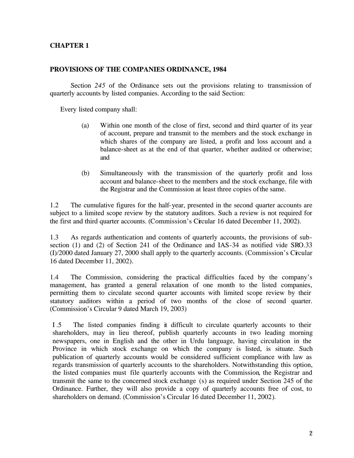#### **CHAPTER 1**

#### **PROVISIONS OF THE COMPANIES ORDINANCE, 1984**

Section *245* of the Ordinance sets out the provisions relating to transmission of quarterly accounts by listed companies. According to the said Section:

Every listed company shall:

- (a) Within one month of the close of first, second and third quarter of its year of account, prepare and transmit to the members and the stock exchange in which shares of the company are listed, a profit and loss account and a balance-sheet as at the end of that quarter, whether audited or otherwise; and
- (b) Simultaneously with the transmission of the quarterly profit and loss account and balance-sheet to the members and the stock exchange, file with the Registrar and the Commission at least three copies ofthe same.

1.2 The cumulative figures for the half-year, presented in the second quarter accounts are subject to a limited scope review by the statutory auditors. Such a review is not required for the first and third quarter accounts. (Commission's Circular 16 dated December 11, 2002).

1.3 As regards authentication and contents of quarterly accounts, the provisions of subsection (1) and (2) of Section 241 of the Ordinance and IAS-34 as notified vide SRO.33 (I)/2000 dated January 27, 2000 shall apply to the quarterly accounts. (Commission's Circular 16 dated December 11, 2002).

1.4 The Commission, considering the practical difficulties faced by the company's management, has granted a general relaxation of one month to the listed companies, permitting them to circulate second quarter accounts with limited scope review by their statutory auditors within a period of two months of the close of second quarter. (Commission's Circular 9 dated March 19, 2003)

I .5 The listed companies finding it difficult to circulate quarterly accounts to their shareholders, may in lieu thereof, publish quarterly accounts in two leading morning newspapers, one in English and the other in Urdu language, having circulation in the Province in which stock exchange on which the company is listed, is situate. Such publication of quarterly accounts would be considered sufficient compliance with law as regards transmission of quarterly accounts to the shareholders. Notwithstanding this option, the listed companies must file quarterly accounts with the Commission, the Registrar and transmit the same to the concerned stock exchange (s) as required under Section 245 of the Ordinance. Further, they will also provide a copy of quarterly accounts free of cost, to shareholders on demand. (Commission's Circular 16 dated December 11, 2002).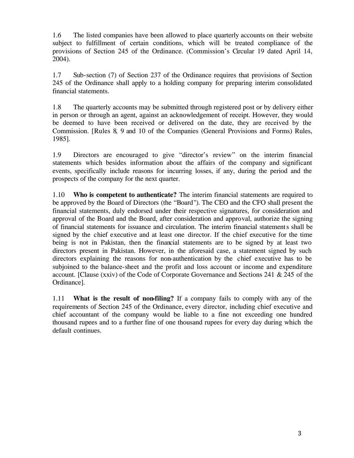1.6 The listed companies have been allowed to place quarterly accounts on their website subject to fulfillment of certain conditions, which will be treated compliance of the provisions of Section 245 of the Ordinance. (Commission's Circular 19 dated April 14, 2004).

1.7 Sub-section (7) of Section 237 of the Ordinance requires that provisions of Section 245 of the Ordinance shall apply to a holding company for preparing interim consolidated financial statements.

1.8 The quarterly accounts may be submitted through registered post or by delivery either in person or through an agent, against an acknowledgement of receipt. However, they would be deemed to have been received or delivered on the date, they are received by the Commission. [Rules 8, 9 and 10 of the Companies (General Provisions and Forms) Rules, 1985].

1.9 Directors are encouraged to give "director's review" on the interim financial statements which besides information about the affairs of the company and significant events, specifically include reasons for incurring losses, if any, during the period and the prospects of the company for the next quarter.

1.10 **Who is competent to authenticate?** The interim financial statements are required to be approved by the Board of Directors (the "Board"). The CEO and the CFO shall present the financial statements, duly endorsed under their respective signatures, for consideration and approval of the Board and the Board, after consideration and approval, authorize the signing of financial statements for issuance and circulation. The interim financial statements shall be signed by the chief executive and at least one director. If the chief executive for the time being is not in Pakistan, then the financial statements are to be signed by at least two directors present in Pakistan. However, in the aforesaid case, a statement signed by such directors explaining the reasons for non-authentication by the chief executive has to be subjoined to the balance-sheet and the profit and loss account or income and expenditure account. [Clause (xxiv) of the Code of Corporate Governance and Sections 241 & 245 of the Ordinance].

1.11 **What is the result of non-filing?** If a company fails to comply with any of the requirements of Section 245 of the Ordinance, every director, including chief executive and chief accountant of the company would be liable to a fine not exceeding one hundred thousand rupees and to a further fine of one thousand rupees for every day during which the default continues.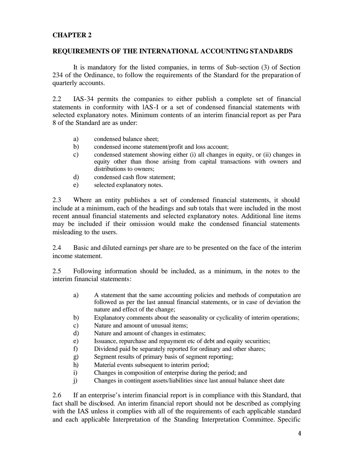#### **CHAPTER 2**

#### **REQUIREMENTS OF THE INTERNATIONAL ACCOUNTING STANDARDS**

It is mandatory for the listed companies, in terms of Sub-section (3) of Section 234 of the Ordinance, to follow the requirements of the Standard for the preparation of quarterly accounts.

2.2 IAS-34 permits the companies to either publish a complete set of financial statements in conformity with lAS-I or a set of condensed financial statements with selected explanatory notes. Minimum contents of an interim financial report as per Para 8 of the Standard are as under:

- a) condensed balance sheet;
- b) condensed income statement/profit and loss account;
- c) condensed statement showing either (i) all changes in equity, or (ii) changes in equity other than those arising from capital transactions with owners and distributions to owners;
- d) condensed cash flow statement;
- e) selected explanatory notes.

2.3 Where an entity publishes a set of condensed financial statements, it should include at a minimum, each of the headings and sub totals that were included in the most recent annual financial statements and selected explanatory notes. Additional line items may be included if their omission would make the condensed financial statements misleading to the users.

2.4 Basic and diluted earnings per share are to be presented on the face of the interim income statement.

2.5 Following information should be included, as a minimum, in the notes to the interim financial statements:

- a) A statement that the same accounting policies and methods of computation are followed as per the last annual financial statements, or in case of deviation the nature and effect of the change;
- b) Explanatory comments about the seasonality or cyclicality of interim operations;
- c) Nature and amount of unusual items;
- d) Nature and amount of changes in estimates;
- e) Issuance, repurchase and repayment etc of debt and equity securities;
- f) Dividend paid be separately reported for ordinary and other shares;
- g) Segment results of primary basis of segment reporting;
- h) Material events subsequent to interim period;
- i) Changes in composition of enterprise during the period; and
- j) Changes in contingent assets/liabilities since last annual balance sheet date

2.6 If an enterprise's interim financial report is in compliance with this Standard, that fact shall be disclosed. An interim financial report should not be described as complying with the IAS unless it complies with all of the requirements of each applicable standard and each applicable Interpretation of the Standing Interpretation Committee. Specific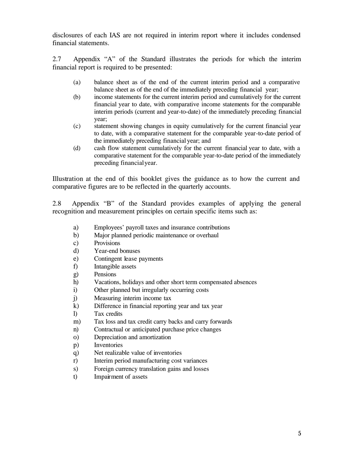disclosures of each IAS are not required in interim report where it includes condensed financial statements.

2.7 Appendix "A" of the Standard illustrates the periods for which the interim financial report is required to be presented:

- (a) balance sheet as of the end of the current interim period and a comparative balance sheet as of the end of the immediately preceding financial year;
- (b) income statements for the current interim period and cumulatively for the current financial year to date, with comparative income statements for the comparable interim periods (current and year-to-date) of the immediately preceding financial year;
- (c) statement showing changes in equity cumulatively for the current financial year to date, with a comparative statement for the comparable year-to-date period of the immediately preceding financial year; and
- (d) cash flow statement cumulatively for the current financial year to date, with a comparative statement for the comparable year-to-date period of the immediately preceding financial year.

Illustration at the end of this booklet gives the guidance as to how the current and comparative figures are to be reflected in the quarterly accounts.

2.8 Appendix "B" of the Standard provides examples of applying the general recognition and measurement principles on certain specific items such as:

- a) Employees' payroll taxes and insurance contributions
- b) Major planned periodic maintenance or overhaul
- c) Provisions
- d) Year-end bonuses
- e) Contingent lease payments
- f) Intangible assets
- g) Pensions
- h) Vacations, holidays and other short term compensated absences
- i) Other planned but irregularly occurring costs
- j) Measuring interim income tax
- k) Difference in financial reporting year and tax year
- l) Tax credits
- m) Tax loss and tax credit carry backs and carry forwards
- n) Contractual or anticipated purchase price changes
- o) Depreciation and amortization
- p) Inventories
- q) Net realizable value of inventories
- r) Interim period manufacturing cost variances
- s) Foreign currency translation gains and losses
- t) Impairment of assets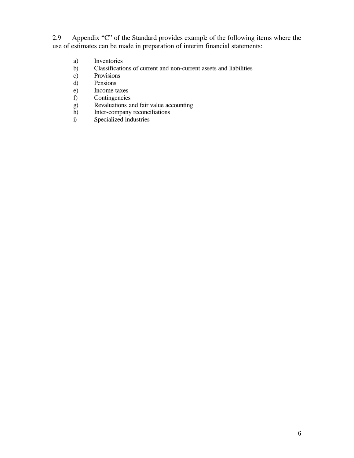2.9 Appendix "C" of the Standard provides example of the following items where the use of estimates can be made in preparation of interim financial statements:

- a) Inventories
- b) Classifications of current and non-current assets and liabilities
- c) Provisions
- d) Pensions
- e) Income taxes<br>f) Contingencies
- 
- f) Contingencies<br>g) Revaluations as<br>h) Inter-company Revaluations and fair value accounting
- Inter-company reconciliations
- i) Specialized industries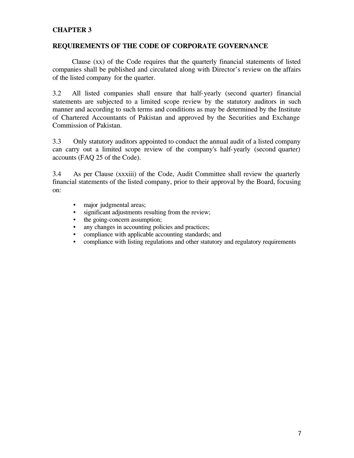#### **CHAPTER 3**

#### **REQUIREMENTS OF THE CODE OF CORPORATE GOVERNANCE**

Clause (xx) of the Code requires that the quarterly financial statements of listed companies shall be published and circulated along with Director's review on the affairs of the listed company for the quarter.

3.2 All listed companies shall ensure that half-yearly (second quarter) financial statements are subjected to a limited scope review by the statutory auditors in such manner and according to such terms and conditions as may be determined by the Institute of Chartered Accountants of Pakistan and approved by the Securities and Exchange Commission of Pakistan.

3.3 Only statutory auditors appointed to conduct the annual audit of a listed company can carry out a limited scope review of the company's half-yearly (second quarter) accounts (FAQ 25 of the Code).

3.4 As per Clause (xxxiii) of the Code, Audit Committee shall review the quarterly financial statements of the listed company, prior to their approval by the Board, focusing on:

- major judgmental areas:
- significant adjustments resulting from the review;
- the going-concern assumption;
- any changes in accounting policies and practices;
- compliance with applicable accounting standards; and
- compliance with listing regulations and other statutory and regulatory requirements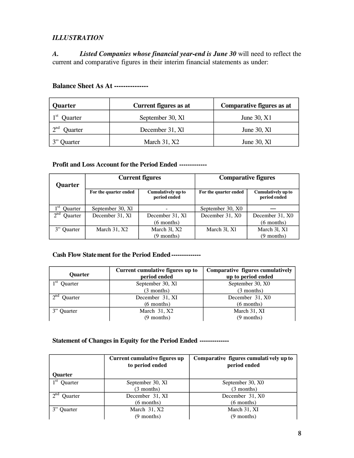#### *ILLUSTRATION*

*A. Listed Companies whose financial year-end is June 30* will need to reflect the current and comparative figures in their interim financial statements as under:

| Quarter                    | Current figures as at | Comparative figures as at |
|----------------------------|-----------------------|---------------------------|
| 1 st<br>Quarter            | September 30, Xl      | June 30, X1               |
| 2 <sup>nd</sup><br>Quarter | December 31, Xl       | June $30, X1$             |
| <b>Ouarter</b>             | March $31, X2$        | June $30, X1$             |

#### **Balance Sheet As At ---------------**

#### **Profit and Loss Account for the Period Ended -------------**

| Quarter                    | <b>Current figures</b> |                                           | <b>Comparative figures</b> |                                    |
|----------------------------|------------------------|-------------------------------------------|----------------------------|------------------------------------|
|                            | For the quarter ended  | <b>Cumulatively up to</b><br>period ended | For the quarter ended      | Cumulatively up to<br>period ended |
| 1 <sup>st</sup><br>Ouarter | September 30, Xl       |                                           | September 30, X0           |                                    |
| $\gamma$ nd<br>Quarter     | December 31, Xl        | December 31, Xl                           | December 31, X0            | December 31, X0                    |
|                            |                        | $(6$ months)                              |                            | $(6$ months)                       |
| 3" Quarter                 | March $31, X2$         | March 31, X2                              | March 31, X1               | March 31, X1                       |
|                            |                        | $(9$ months)                              |                            | $(9$ months)                       |

#### **Cash Flow Statement for the Period Ended--------------**

| <b>Ouarter</b>          | Current cumulative figures up to<br>period ended | Comparative figures cumulatively<br>up to period ended |
|-------------------------|--------------------------------------------------|--------------------------------------------------------|
| 1 St<br>Quarter         | September 30, Xl                                 | September 30, X0                                       |
|                         | $(3$ months)                                     | $(3$ months)                                           |
| $\lambda$ nd<br>Ouarter | December 31, XI                                  | December 31, X0                                        |
|                         | $(6$ months)                                     | $(6$ months)                                           |
| <b>Ouarter</b>          | March 31, X2                                     | March 31, XI                                           |
|                         | $(9$ months)                                     | $(9$ months)                                           |

#### **Statement of Changes in Equity for the Period Ended --------------**

|                               | Current cumulative figures up<br>to period ended | Comparative figures cumulatively up to<br>period ended |  |
|-------------------------------|--------------------------------------------------|--------------------------------------------------------|--|
| Ouarter                       |                                                  |                                                        |  |
| 1 St<br>Quarter               | September 30, Xl                                 | September 30, X0                                       |  |
|                               | $(3$ months)                                     | (3 months)                                             |  |
| $\gamma$ nd<br><b>Ouarter</b> | December 31, XI                                  | December 31, X0                                        |  |
|                               | $(6$ months)                                     | $(6$ months)                                           |  |
| 3" Ouarter                    | March 31, X2                                     | March 31, XI                                           |  |
|                               | $(9$ months)                                     | $(9$ months)                                           |  |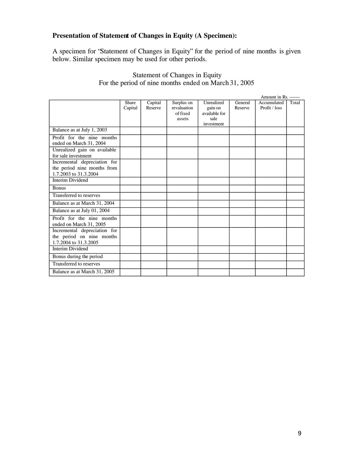#### **Presentation of Statement of Changes in Equity (A Specimen):**

A specimen for "Statement of Changes in Equity" for the period of nine months is given below. Similar specimen may be used for other periods.

|                                                                                      |                  |                    |                                       |                                        |                    | Amount in Rs. -------        |       |
|--------------------------------------------------------------------------------------|------------------|--------------------|---------------------------------------|----------------------------------------|--------------------|------------------------------|-------|
|                                                                                      | Share<br>Capital | Capital<br>Reserve | Surplus on<br>revaluation<br>of fixed | Unrealized<br>gain on<br>available for | General<br>Reserve | Accumulated<br>Profit / loss | Total |
|                                                                                      |                  |                    | assets                                | sale<br>investment                     |                    |                              |       |
| Balance as at July 1, 2003                                                           |                  |                    |                                       |                                        |                    |                              |       |
| Profit for the nine months<br>ended on March 31, 2004                                |                  |                    |                                       |                                        |                    |                              |       |
| Unrealized gain on available<br>for sale investment                                  |                  |                    |                                       |                                        |                    |                              |       |
| Incremental depreciation for<br>the period nine months from<br>1.7.2003 to 31.3.2004 |                  |                    |                                       |                                        |                    |                              |       |
| Interim Dividend                                                                     |                  |                    |                                       |                                        |                    |                              |       |
| <b>Bonus</b>                                                                         |                  |                    |                                       |                                        |                    |                              |       |
| Transferred to reserves                                                              |                  |                    |                                       |                                        |                    |                              |       |
| Balance as at March 31, 2004                                                         |                  |                    |                                       |                                        |                    |                              |       |
| Balance as at July 01, 2004                                                          |                  |                    |                                       |                                        |                    |                              |       |
| Profit for the nine months<br>ended on March 31, 2005                                |                  |                    |                                       |                                        |                    |                              |       |
| Incremental depreciation for<br>the period on nine months<br>1.7.2004 to 31.3.2005   |                  |                    |                                       |                                        |                    |                              |       |
| <b>Interim Dividend</b>                                                              |                  |                    |                                       |                                        |                    |                              |       |
| Bonus during the period                                                              |                  |                    |                                       |                                        |                    |                              |       |
| Transferred to reserves                                                              |                  |                    |                                       |                                        |                    |                              |       |
| Balance as at March 31, 2005                                                         |                  |                    |                                       |                                        |                    |                              |       |

#### Statement of Changes in Equity For the period of nine months ended on March 31, 2005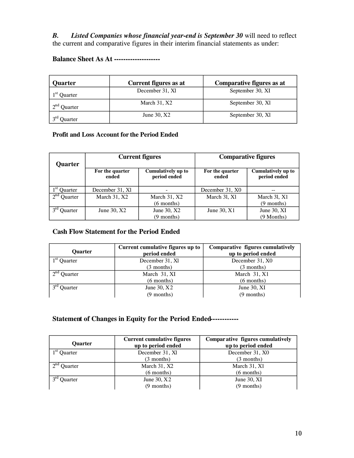*B. Listed Companies whose financial year-end is September 30* will need to reflect the current and comparative figures in their interim financial statements as under:

**Balance Sheet As At --------------------** 

| Quarter        | Current figures as at | Comparative figures as at |
|----------------|-----------------------|---------------------------|
| $1st$ Quarter  | December 31, Xl       | September 30, XI          |
| $2nd$ Quarter  | March $31, X2$        | September 30, Xl          |
| <b>Juarter</b> | June 30, X2           | September 30, Xl          |

#### **Profit and Loss Account for the Period Ended**

| <b>Quarter</b>             | <b>Current figures</b>   |                                    | <b>Comparative figures</b> |                                    |
|----------------------------|--------------------------|------------------------------------|----------------------------|------------------------------------|
|                            | For the quarter<br>ended | Cumulatively up to<br>period ended | For the quarter<br>ended   | Cumulatively up to<br>period ended |
| Quarter                    | December 31, Xl          |                                    | December 31, X0            |                                    |
| 2 <sup>nd</sup><br>Quarter | March 31, X2             | March 31, X2                       | March 31, X1               | March 31, X1                       |
|                            |                          | $(6$ months)                       |                            | $(9$ months)                       |
| Quarter                    | June $30, X2$            | June 30, X2                        | June $30, X1$              | June $30, XI$                      |
|                            |                          | $(9$ months)                       |                            | $(9$ Months)                       |

#### **Cash Flow Statement for the Period Ended**

| Ouarter                       | Current cumulative figures up to<br>period ended | Comparative figures cumulatively<br>up to period ended |
|-------------------------------|--------------------------------------------------|--------------------------------------------------------|
| $1st$ Ouarter                 | December 31, XI                                  | December 31, X0                                        |
|                               | $(3$ months)                                     | $(3$ months)                                           |
| $2nd$ Ouarter                 | March 31, XI                                     | March $31, X1$                                         |
|                               | $(6$ months)                                     | $(6$ months)                                           |
| $\gamma$ rd<br><b>Ouarter</b> | June $30, X2$                                    | June $30$ , XI                                         |
|                               | $(9$ months)                                     | $(9$ months)                                           |

#### **Statement of Changes in Equity for the Period Ended------------**

| <b>Quarter</b>                | <b>Current cumulative figures</b><br>up to period ended | Comparative figures cumulatively<br>up to period ended |
|-------------------------------|---------------------------------------------------------|--------------------------------------------------------|
| $1st$ Ouarter                 | December 31, Xl                                         | December 31, X0                                        |
|                               | (3 months)                                              | $(3$ months)                                           |
| $\gamma$ nd<br><b>Ouarter</b> | March 31, X2                                            | March 31, X1                                           |
|                               | $(6$ months)                                            | $(6$ months)                                           |
| Ouarter                       | June $30, X2$                                           | June $30, XI$                                          |
|                               | $(9$ months)                                            | $(9$ months)                                           |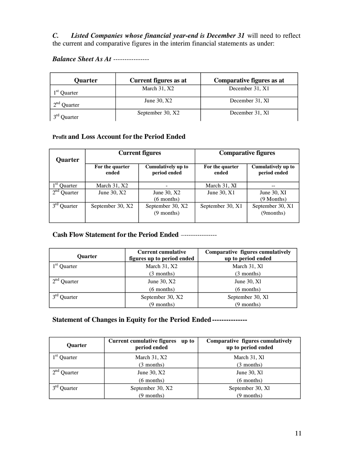*C. Listed Companies whose financial year-end is December 31* will need to reflect the current and comparative figures in the interim financial statements as under:

#### *Balance Sheet As At ----------------*

| Quarter                        | Current figures as at | Comparative figures as at |
|--------------------------------|-----------------------|---------------------------|
| $1st$ Quarter                  | March $31, X2$        | December 31, X1           |
| $\lambda$ nd<br><b>Ouarter</b> | June $30, X2$         | December 31, XI           |
| Ouarter                        | September 30, X2      | December 31, Xl           |

#### **Profit and Loss Account for the Period Ended**

| Quarter                    | <b>Current figures</b>   |                                    | <b>Comparative figures</b> |                                    |
|----------------------------|--------------------------|------------------------------------|----------------------------|------------------------------------|
|                            | For the quarter<br>ended | Cumulatively up to<br>period ended | For the quarter<br>ended   | Cumulatively up to<br>period ended |
| $1st$ Quarter              | March $31, X2$           |                                    | March 31, XI               | --                                 |
| $2^{nd}$<br><b>Ouarter</b> | June $30, X2$            | June 30, X2                        | June $30, X1$              | June $30, XI$                      |
|                            |                          | $(6$ months)                       |                            | $(9$ Months)                       |
| Quarter                    | September 30, X2         | September 30, X2                   | September 30, X1           | September 30, X1                   |
|                            |                          | $(9$ months)                       |                            | (9months)                          |

#### **Cash Flow Statement for the Period Ended** –---------------

| <b>Ouarter</b> | <b>Current cumulative</b><br>figures up to period ended | Comparative figures cumulatively<br>up to period ended |
|----------------|---------------------------------------------------------|--------------------------------------------------------|
| $1st$ Quarter  | March 31, X2                                            | March 31, Xl                                           |
|                | $(3$ months)                                            | $(3$ months)                                           |
| $2nd$ Ouarter  | June $30, X2$                                           | June $30, X1$                                          |
|                | $(6$ months)                                            | $(6$ months)                                           |
| Ouarter        | September 30, X2                                        | September 30, Xl                                       |
|                | $(9$ months)                                            | $(9$ months)                                           |

#### **Statement of Changes in Equity for the Period Ended---------------**

| <b>Quarter</b>         | <b>Current cumulative figures</b><br>up to<br>period ended | Comparative figures cumulatively<br>up to period ended |
|------------------------|------------------------------------------------------------|--------------------------------------------------------|
| $1st$ Quarter          | March $31, X2$                                             | March 31, X1                                           |
|                        | (3 months)                                                 | $(3$ months)                                           |
| $\gamma$ nd<br>Quarter | June 30, X2                                                | June $30, X1$                                          |
|                        | $(6$ months)                                               | $(6$ months)                                           |
| Quarter                | September 30, X2                                           | September 30, Xl                                       |
|                        | $(9$ months)                                               | $(9$ months)                                           |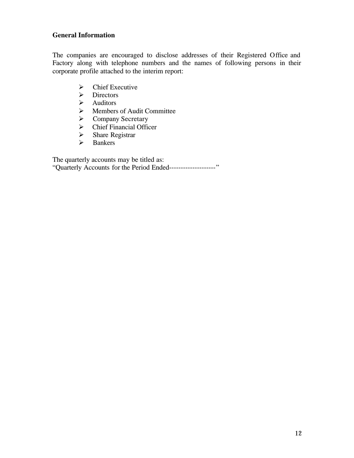#### **General Information**

The companies are encouraged to disclose addresses of their Registered Office and Factory along with telephone numbers and the names of following persons in their corporate profile attached to the interim report:

- $\triangleright$  Chief Executive
- > Directors<br>> Auditors
- **Auditors**
- $\triangleright$  Members of Audit Committee<br>  $\triangleright$  Company Secretary
- → Company Secretary<br>→ Chief Financial Offic
- $\geq$  Chief Financial Officer<br> $\geq$  Share Registrar
- $\triangleright$  Share Registrar<br> $\triangleright$  Bankers
- **Bankers**

The quarterly accounts may be titled as:

"Quarterly Accounts for the Period Ended--------------------"